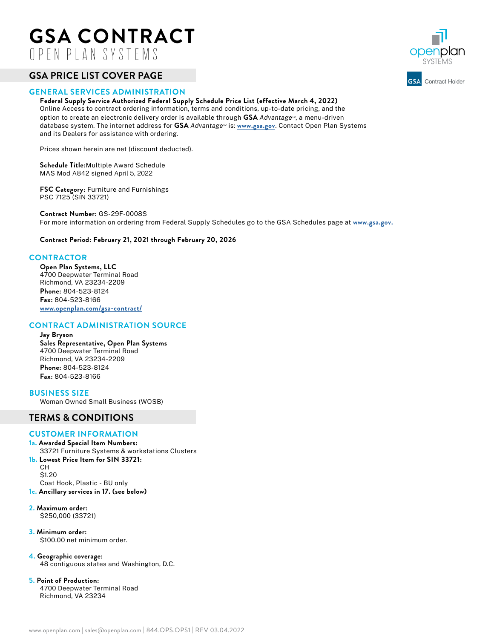# **GSA CONTRACT**  OPEN PLAN SYSTEMS

# **GSA PRICE LIST COVER PAGE**

### **GENERAL SERVICES ADMINISTRATION**

**Federal Supply Service Authorized Federal Supply Schedule Price List (effective March 4, 2022)** Online Access to contract ordering information, terms and conditions, up-to-date pricing, and the option to create an electronic delivery order is available through **GSA** *Advantage™*, a menu-driven database system. The internet address for **GSA** *Advantage™* is: **www.gsa.gov**. Contact Open Plan Systems and its Dealers for assistance with ordering.

Prices shown herein are net (discount deducted).

**Schedule Title:**Multiple Award Schedule MAS Mod A842 signed April 5, 2022

**FSC Category:** Furniture and Furnishings PSC 7125 (SIN 33721)

**Contract Number:** GS-29F-0008S For more information on ordering from Federal Supply Schedules go to the GSA Schedules page at **www.gsa.gov.**

**Contract Period: February 21, 2021 through February 20, 2026**

## **CONTRACTOR**

**Open Plan Systems, LLC** 4700 Deepwater Terminal Road Richmond, VA 23234-2209 **Phone:** 804-523-8124 **Fax:** 804-523-8166 **[www.openplan.com/gsa-contract/](http://www.openplan.com/gsa-contract/)**

# **CONTRACT ADMINISTRATION SOURCE**

**Jay Bryson Sales Representative, Open Plan Systems** 4700 Deepwater Terminal Road Richmond, VA 23234-2209 **Phone:** 804-523-8124 **Fax:** 804-523-8166

**BUSINESS SIZE** Woman Owned Small Business (WOSB)

# **TERMS & CONDITIONS**

### **CUSTOMER INFORMATION**

**1a. Awarded Special Item Numbers:** 33721 Furniture Systems & workstations Clusters **1b. Lowest Price Item for SIN 33721:** CH \$1.20

Coat Hook, Plastic - BU only **1c. Ancillary services in 17. (see below)**

#### **2. Maximum order:** \$250,000 (33721)

**3. Minimum order:** \$100.00 net minimum order.

- **4. Geographic coverage:** 48 contiguous states and Washington, D.C.
- **5. Point of Production:** 4700 Deepwater Terminal Road Richmond, VA 23234

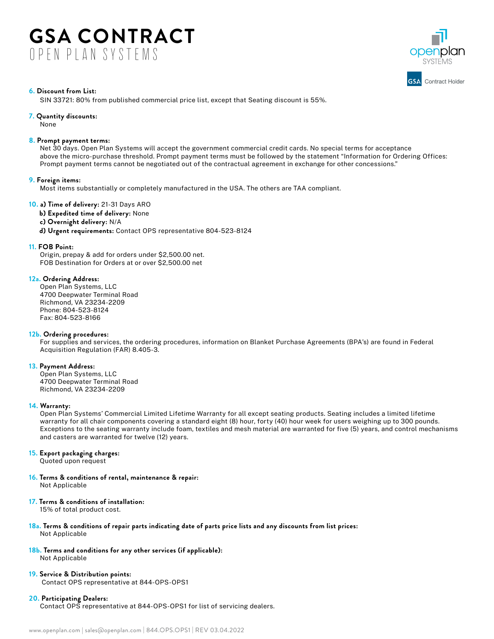# **GSA CONTRACT**  OPEN PLAN SYSTEMS



### **6. Discount from List:**

SIN 33721: 80% from published commercial price list, except that Seating discount is 55%.

#### **7. Quantity discounts:**

None

#### **8. Prompt payment terms:**

Net 30 days. Open Plan Systems will accept the government commercial credit cards. No special terms for acceptance above the micro-purchase threshold. Prompt payment terms must be followed by the statement "Information for Ordering Offices: Prompt payment terms cannot be negotiated out of the contractual agreement in exchange for other concessions."

#### **9. Foreign items:**

Most items substantially or completely manufactured in the USA. The others are TAA compliant.

### **10. a) Time of delivery:** 21-31 Days ARO

- **b) Expedited time of delivery:** None
- **c) Overnight delivery:** N/A

**d) Urgent requirements:** Contact OPS representative 804-523-8124

#### **11. FOB Point:**

Origin, prepay & add for orders under \$2,500.00 net. FOB Destination for Orders at or over \$2,500.00 net

### **12a. Ordering Address:**

Open Plan Systems, LLC 4700 Deepwater Terminal Road Richmond, VA 23234-2209 Phone: 804-523-8124 Fax: 804-523-8166

### **12b. Ordering procedures:**

For supplies and services, the ordering procedures, information on Blanket Purchase Agreements (BPA's) are found in Federal Acquisition Regulation (FAR) 8.405-3.

### **13. Payment Address:**

Open Plan Systems, LLC 4700 Deepwater Terminal Road Richmond, VA 23234-2209

### **14. Warranty:**

Open Plan Systems' Commercial Limited Lifetime Warranty for all except seating products. Seating includes a limited lifetime warranty for all chair components covering a standard eight (8) hour, forty (40) hour week for users weighing up to 300 pounds. Exceptions to the seating warranty include foam, textiles and mesh material are warranted for five (5) years, and control mechanisms and casters are warranted for twelve (12) years.

# **15. Export packaging charges:**

Quoted upon request

**16. Terms & conditions of rental, maintenance & repair:**

Not Applicable

## **17. Terms & conditions of installation:**

15% of total product cost.

- **18a. Terms & conditions of repair parts indicating date of parts price lists and any discounts from list prices:**  Not Applicable
- **18b. Terms and conditions for any other services (if applicable):**

Not Applicable

**19. Service & Distribution points:** Contact OPS representative at 844-OPS-OPS1

### **20. Participating Dealers:**

Contact OPS representative at 844-OPS-OPS1 for list of servicing dealers.